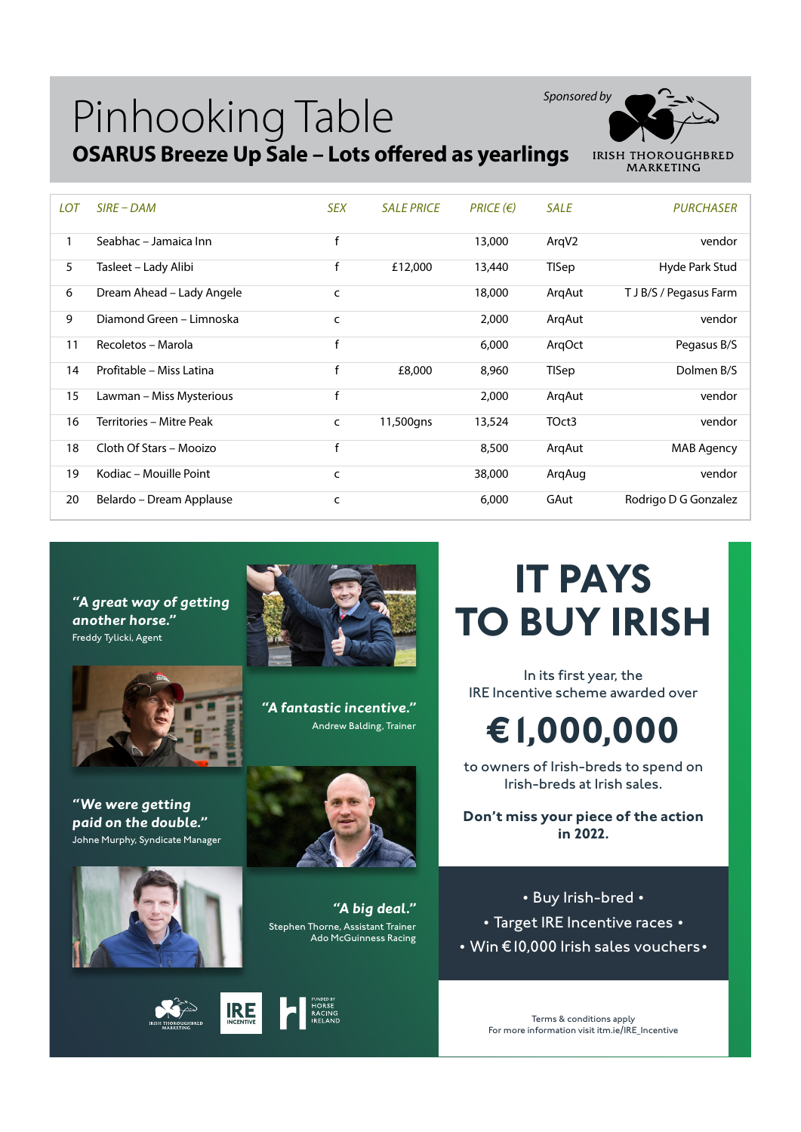## Pinhooking Table **OSARUS Breeze Up Sale – Lots offered as yearlings**



| <b>LOT</b> | $SIRE-DAM$                | <b>SEX</b> | <b>SALE PRICE</b> | $PRICE$ ( $\in$ ) | <b>SALE</b> | <b>PURCHASER</b>       |
|------------|---------------------------|------------|-------------------|-------------------|-------------|------------------------|
|            | Seabhac - Jamaica Inn     | f          |                   | 13,000            | ArqV2       | vendor                 |
| 5          | Tasleet – Lady Alibi      | f          | £12,000           | 13,440            | TISep       | Hyde Park Stud         |
| 6          | Dream Ahead - Lady Angele | c          |                   | 18,000            | ArgAut      | T J B/S / Pegasus Farm |
| 9          | Diamond Green - Limnoska  | c          |                   | 2,000             | ArgAut      | vendor                 |
| 11         | Recoletos - Marola        | f          |                   | 6,000             | ArgOct      | Pegasus B/S            |
| 14         | Profitable – Miss Latina  | f          | £8,000            | 8,960             | TISep       | Dolmen B/S             |
| 15         | Lawman – Miss Mysterious  | f          |                   | 2,000             | ArgAut      | vendor                 |
| 16         | Territories - Mitre Peak  | c          | 11,500gns         | 13,524            | TOct3       | vendor                 |
| 18         | Cloth Of Stars - Mooizo   | f          |                   | 8,500             | ArgAut      | MAB Agency             |
| 19         | Kodiac - Mouille Point    | C          |                   | 38,000            | ArgAug      | vendor                 |
| 20         | Belardo - Dream Applause  | c          |                   | 6,000             | GAut        | Rodrigo D G Gonzalez   |

*"A great way of getting another horse."* Freddy Tylicki, Agent



*"We were getting paid on the double."* Johne Murphy, Syndicate Manager



**IRE** 



*"A fantastic incentive."* Andrew Balding, Trainer



*"A big deal."* Stephen Thorne, Assistant Trainer Ado McGuinness Racing

## **IT PAYS TO BUY IRISH** In its first year, the

IRE Incentive scheme awarded over

## **€1,000,000**

to owners of Irish-breds to spend on Irish-breds at Irish sales.

**Don't miss your piece of the action in 2022.**

• Buy Irish-bred • • Target IRE Incentive races • • Win €10,000 Irish sales vouchers•

> Terms & conditions apply For more information visit itm.ie/IRE\_Incentive